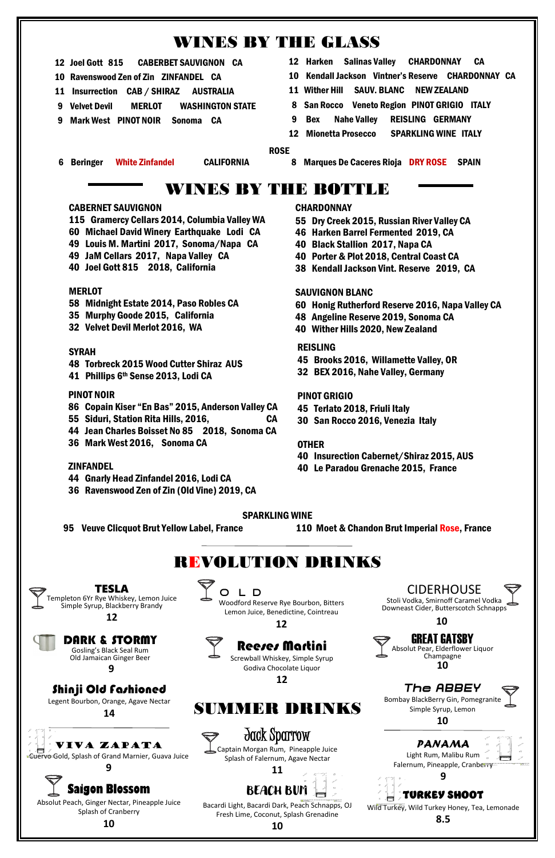- 12 Joel Gott 815 CABERBET SAUVIGNON CA
- 10 Ravenswood Zen of Zin ZINFANDEL CA
- 11 Insurrection CAB / SHIRAZ AUSTRALIA
- 9 Velvet Devil MERLOT WASHINGTON STATE
- 9 Mark West PINOT NOIR Sonoma CA
- 12 Harken Salinas Valley CHARDONNAY CA
- 10 Kendall Jackson Vintner's Reserve CHARDONNAY CA
- 11 Wither Hill SAUV. BLANC NEW ZEALAND
- 8 San Rocco Veneto Region PINOT GRIGIO ITALY
- 9 Bex Nahe Valley REISLING GERMANY
- 12 Mionetta Prosecco SPARKLING WINE ITALY

#### **ROSE ROSE**

6 Beringer White Zinfandel CALIFORNIA 8 Marques De Caceres Rioja DRY ROSE SPAIN

### REISLING

- 45 Brooks 2016, Willamette Valley, OR
- 32 BEX 2016, Nahe Valley, Germany

### PINOT GRIGIO

- 45 Terlato 2018, Friuli Italy
- 30 San Rocco 2016, Venezia Italy

### **OTHER**

- 40 Insurection Cabernet/Shiraz 2015, AUS
- 40 Le Paradou Grenache 2015, France
- 55 Dry Creek 2015, Russian River Valley CA
- 46 Harken Barrel Fermented 2019, CA
- 40 Black Stallion 2017, Napa CA
- 40 Porter & Plot 2018, Central Coast CA
- 38 Kendall Jackson Vint. Reserve 2019, CA

### SAUVIGNON BLANC

CIDERHOUSE Stoli Vodka, Smirnoff Caramel Vodka Downeast Cider, Butterscotch Schnapps O L D CIDERHOUSE Y H

- 60 Honig Rutherford Reserve 2016, Napa Valley CA
- 48 Angeline Reserve 2019, Sonoma CA
- 40 Wither Hills 2020, New Zealand

### PINOT NOIR

- 86 Copain Kiser "En Bas" 2015, Anderson Valley CA
- 55 Siduri, Station Rita Hills, 2016, CA
- 44 Jean Charles Boisset No 85 2018, Sonoma CA
- 36 Mark West 2016, Sonoma CA

### **ZINFANDEL**

- 44 Gnarly Head Zinfandel 2016, Lodi CA
- 36 Ravenswood Zen of Zin (Old Vine) 2019, CA

### **CHARDONNAY**

### CABERNET SAUVIGNON

- 115 Gramercy Cellars 2014, Columbia Valley WA
- 60 Michael David Winery Earthquake Lodi CA
- 49 Louis M. Martini 2017, Sonoma/Napa CA
- 49 JaM Cellars 2017, Napa Valley CA
- 40 Joel Gott 815 2018, California

### **MERLOT**

- 58 Midnight Estate 2014, Paso Robles CA
- 35 Murphy Goode 2015, California
- 32 Velvet Devil Merlot 2016, WA

### SYRAH

48 Torbreck 2015 Wood Cutter Shiraz AUS 41 Phillips 6th Sense 2013, Lodi CA

### SPARKLING WINE

- 
- 95 Veuve Clicquot Brut Yellow Label, France 110 Moet & Chandon Brut Imperial Rose, France

TESLA Templeton 6Yr Rye Whiskey, Lemon Juice Simple Syrup, Blackberry Brandy

**12**

### VIVA ZAPATA

Cuervo Gold, Splash of Grand Marnier, Guava Juice

### **9 Saigon Blossom**

Absolut Peach, Ginger Nectar, Pineapple Juice Splash of Cranberry

**10**

### Shinji Old Fashioned

Legent Bourbon, Orange, Agave Nectar

**14**



Screwball Whiskey, Simple Syrup Godiva Chocolate Liquor

**12**

Woodford Reserve Rye Bourbon, Bitters Lemon Juice, Benedictine, Cointreau

**12**



Splash of Falernum, Agave Nectar

### **11**

### BEACH BUM

Bacardi Light, Bacardi Dark, Peach Schnapps, OJ Fresh Lime, Coconut, Splash Grenadine

**10**

## WINES BY THE GLASS



## WINES BY THE BOTTLE

## REVOLUTION DRINKS







Old Jamaican Ginger Beer

### **9**

## SUMMER DRINKS